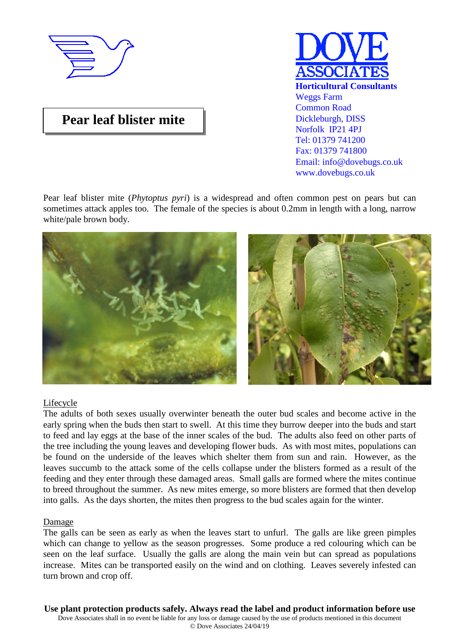

# **Pear leaf blister mite**



Pear leaf blister mite (*Phytoptus pyri*) is a widespread and often common pest on pears but can sometimes attack apples too. The female of the species is about 0.2mm in length with a long, narrow white/pale brown body.



## Lifecycle

The adults of both sexes usually overwinter beneath the outer bud scales and become active in the early spring when the buds then start to swell. At this time they burrow deeper into the buds and start to feed and lay eggs at the base of the inner scales of the bud. The adults also feed on other parts of the tree including the young leaves and developing flower buds. As with most mites, populations can be found on the underside of the leaves which shelter them from sun and rain. However, as the leaves succumb to the attack some of the cells collapse under the blisters formed as a result of the feeding and they enter through these damaged areas. Small galls are formed where the mites continue to breed throughout the summer. As new mites emerge, so more blisters are formed that then develop into galls. As the days shorten, the mites then progress to the bud scales again for the winter.

#### Damage

The galls can be seen as early as when the leaves start to unfurl. The galls are like green pimples which can change to yellow as the season progresses. Some produce a red colouring which can be seen on the leaf surface. Usually the galls are along the main vein but can spread as populations increase. Mites can be transported easily on the wind and on clothing. Leaves severely infested can turn brown and crop off.